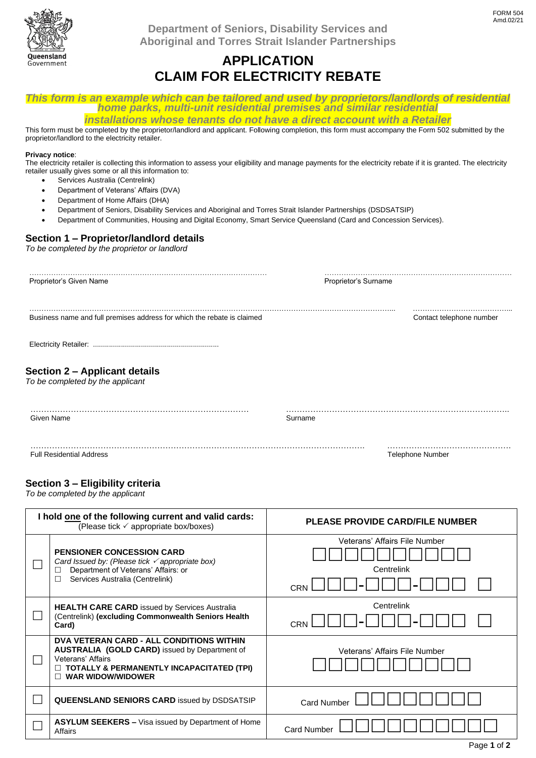

**Department of Seniors, Disability Services and Aboriginal and Torres Strait Islander Partnerships**

## **APPLICATION CLAIM FOR ELECTRICITY REBATE**

*This form is an example which can be tailored and used by proprietors/landlords of residential home parks, multi-unit residential premises and similar residential*

*installations whose tenants do not have a direct account with a Retailer* This form must be completed by the proprietor/landlord and applicant. Following completion, this form must accompany the Form 502 submitted by the proprietor/landlord to the electricity retailer.

### **Privacy notice**:

The electricity retailer is collecting this information to assess your eligibility and manage payments for the electricity rebate if it is granted. The electricity retailer usually gives some or all this information to:

- Services Australia (Centrelink)
- Department of Veterans' Affairs (DVA)
- Department of Home Affairs (DHA)
- Department of Seniors, Disability Services and Aboriginal and Torres Strait Islander Partnerships (DSDSATSIP)
- Department of Communities, Housing and Digital Economy, Smart Service Queensland (Card and Concession Services).

## **Section 1 – Proprietor/landlord details**

*To be completed by the proprietor or landlord*

| Proprietor's Surname     |
|--------------------------|
| Contact telephone number |
|                          |
|                          |
| Surname                  |
| <b>Telephone Number</b>  |
|                          |

### **Section 3 – Eligibility criteria**

*To be completed by the applicant*

| I hold one of the following current and valid cards:<br>(Please tick $\checkmark$ appropriate box/boxes) |                                                                                                                                                                                                | <b>PLEASE PROVIDE CARD/FILE NUMBER</b>             |
|----------------------------------------------------------------------------------------------------------|------------------------------------------------------------------------------------------------------------------------------------------------------------------------------------------------|----------------------------------------------------|
|                                                                                                          | <b>PENSIONER CONCESSION CARD</b><br>Card Issued by: (Please tick $\checkmark$ appropriate box)<br>Department of Veterans' Affairs: or<br>Ш<br>Services Australia (Centrelink)                  | Veterans' Affairs File Number<br>Centrelink<br>CRN |
|                                                                                                          | <b>HEALTH CARE CARD</b> issued by Services Australia<br>(Centrelink) (excluding Commonwealth Seniors Health<br>Card)                                                                           | Centrelink<br>CRN                                  |
|                                                                                                          | DVA VETERAN CARD - ALL CONDITIONS WITHIN<br><b>AUSTRALIA (GOLD CARD)</b> issued by Department of<br>Veterans' Affairs<br>TOTALLY & PERMANENTLY INCAPACITATED (TPI)<br><b>WAR WIDOW/WIDOWER</b> | Veterans' Affairs File Number                      |
|                                                                                                          | <b>QUEENSLAND SENIORS CARD issued by DSDSATSIP</b>                                                                                                                                             | <b>Card Number</b>                                 |
|                                                                                                          | <b>ASYLUM SEEKERS –</b> Visa issued by Department of Home<br>Affairs                                                                                                                           | <b>Card Number</b>                                 |